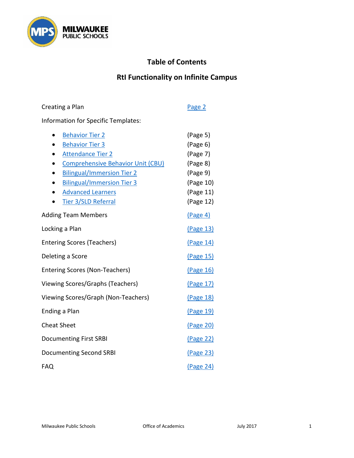

# **Table of Contents**

# **RtI Functionality on Infinite Campus**

| Information for Specific Templates:                                                                                                                                                                                                                                                                                         |                                                                                                 |
|-----------------------------------------------------------------------------------------------------------------------------------------------------------------------------------------------------------------------------------------------------------------------------------------------------------------------------|-------------------------------------------------------------------------------------------------|
| <b>Behavior Tier 2</b><br>$\bullet$<br><b>Behavior Tier 3</b><br><b>Attendance Tier 2</b><br>$\bullet$<br><b>Comprehensive Behavior Unit (CBU)</b><br><b>Bilingual/Immersion Tier 2</b><br>$\bullet$<br><b>Bilingual/Immersion Tier 3</b><br>$\bullet$<br><b>Advanced Learners</b><br>$\blacksquare$<br>Tier 3/SLD Referral | (Page 5)<br>(Page 6)<br>(Page 7)<br>(Page 8)<br>(Page 9)<br>(Page 10)<br>(Page 11)<br>(Page 12) |
| <b>Adding Team Members</b>                                                                                                                                                                                                                                                                                                  | (Page 4)                                                                                        |
| Locking a Plan                                                                                                                                                                                                                                                                                                              | (Page 13)                                                                                       |
| <b>Entering Scores (Teachers)</b>                                                                                                                                                                                                                                                                                           | (Page 14)                                                                                       |
| Deleting a Score                                                                                                                                                                                                                                                                                                            | (Page 15)                                                                                       |
| <b>Entering Scores (Non-Teachers)</b>                                                                                                                                                                                                                                                                                       | (Page 16)                                                                                       |
| Viewing Scores/Graphs (Teachers)                                                                                                                                                                                                                                                                                            | (Page 17)                                                                                       |
| Viewing Scores/Graph (Non-Teachers)                                                                                                                                                                                                                                                                                         | <u>(Page 18)</u>                                                                                |
| Ending a Plan                                                                                                                                                                                                                                                                                                               | (Page 19)                                                                                       |
| <b>Cheat Sheet</b>                                                                                                                                                                                                                                                                                                          | (Page 20)                                                                                       |
| <b>Documenting First SRBI</b>                                                                                                                                                                                                                                                                                               | <u>(Page 22)</u>                                                                                |
| <b>Documenting Second SRBI</b>                                                                                                                                                                                                                                                                                              | <u>(Page 23)</u>                                                                                |
| <b>FAQ</b>                                                                                                                                                                                                                                                                                                                  | <u>(Page 24)</u>                                                                                |

Creating a Plan [Page 2](#page-1-0)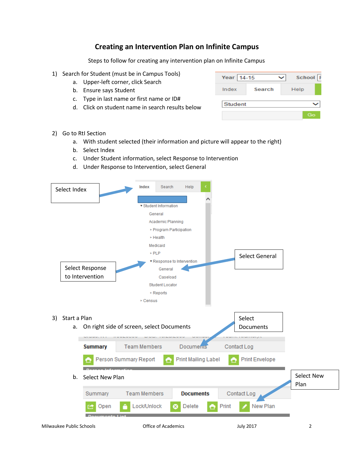### **Creating an Intervention Plan on Infinite Campus**

Steps to follow for creating any intervention plan on Infinite Campus

- <span id="page-1-0"></span>1) Search for Student (must be in Campus Tools)
	- a. Upper-left corner, click Search
	- b. Ensure says Student
	- c. Type in last name or first name or ID#
	- d. Click on student name in search results below

| Year 14-15 |        | School |  |
|------------|--------|--------|--|
| Index      | Search | Help   |  |
| Student    |        |        |  |
|            |        | Go     |  |

- 2) Go to RtI Section
	- a. With student selected (their information and picture will appear to the right)
	- b. Select Index
	- c. Under Student information, select Response to Intervention
	- d. Under Response to Intervention, select General

|                    | Select Index    | Index<br>Search                           | Help                       |                            |                   |
|--------------------|-----------------|-------------------------------------------|----------------------------|----------------------------|-------------------|
|                    |                 | ▼ Student Information                     |                            |                            |                   |
|                    |                 | General                                   |                            |                            |                   |
|                    |                 | Academic Planning                         |                            |                            |                   |
|                    |                 |                                           | ▶ Program Participation    |                            |                   |
|                    |                 | ► Health                                  |                            |                            |                   |
|                    |                 | Medicaid                                  |                            |                            |                   |
|                    |                 | $\triangleright$ PLP                      |                            |                            |                   |
|                    |                 |                                           | ▼ Response to Intervention | Select General             |                   |
|                    | Select Response | General                                   |                            |                            |                   |
|                    | to Intervention | Caseload                                  |                            |                            |                   |
|                    |                 | <b>Student Locator</b>                    |                            |                            |                   |
|                    |                 | ▶ Reports                                 |                            |                            |                   |
|                    |                 | $\triangleright$ Census                   |                            |                            |                   |
|                    |                 |                                           |                            |                            |                   |
|                    |                 |                                           |                            |                            |                   |
|                    |                 |                                           |                            |                            |                   |
| Start a Plan<br>3) |                 |                                           |                            | Select                     |                   |
| а.                 |                 | On right side of screen, select Documents |                            | <b>Documents</b>           |                   |
|                    |                 | <b>Team Members</b>                       | Documents                  |                            |                   |
|                    | <b>Summary</b>  |                                           |                            | Contact Log                |                   |
|                    |                 | Person Summary Report<br>e                | <b>Print Mailing Label</b> | <b>Print Envelope</b><br>e |                   |
| b.                 | Select New Plan |                                           |                            |                            | <b>Select New</b> |
|                    |                 |                                           |                            |                            | Plan              |
|                    | Summary         | <b>Team Members</b>                       | <b>Documents</b>           | Contact Log                |                   |
|                    | Open            | Lock/Unlock                               | Delete<br>а                | Print<br>New Plan          |                   |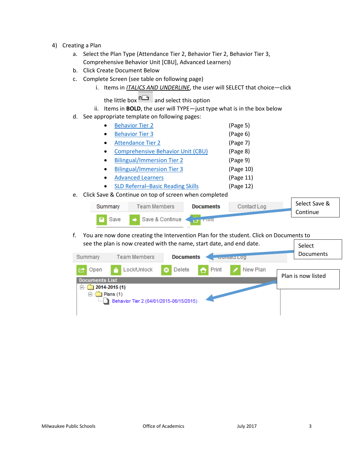- 4) Creating a Plan
	- a. Select the Plan Type (Attendance Tier 2, Behavior Tier 2, Behavior Tier 3, Comprehensive Behavior Unit [CBU], Advanced Learners)
	- b. Click Create Document Below
	- c. Complete Screen (see table on following page)
		- i. Items in *ITALICS AND UNDERLINE*, the user will SELECT that choice—click
			- the little box  $\overline{P}$  and select this option
		- ii. Items in **BOLD**, the user will TYPE—just type what is in the box below
	- d. See appropriate template on following pages:

| $\bullet$ | <b>Behavior Tier 2</b>                   | (Page 5)  |
|-----------|------------------------------------------|-----------|
| $\bullet$ | <b>Behavior Tier 3</b>                   | (Page 6)  |
| $\bullet$ | <b>Attendance Tier 2</b>                 | (Page 7)  |
| $\bullet$ | <b>Comprehensive Behavior Unit (CBU)</b> | (Page 8)  |
| $\bullet$ | <b>Bilingual/Immersion Tier 2</b>        | (Page 9)  |
| $\bullet$ | <b>Bilingual/Immersion Tier 3</b>        | (Page 10) |

- [Advanced Learners](#page-10-0) (Page 11)
- [SLD Referral–Basic Reading Skills](#page-11-0) (Page 12)
- e. Click Save & Continue on top of screen when completed

| Summary | Team Members    | <b>Documents</b> | Contact Log | Select Save & |
|---------|-----------------|------------------|-------------|---------------|
|         |                 |                  |             | Continue      |
| Save    | Save & Continue | πππτ             |             |               |

f. You are now done creating the Intervention Plan for the student. Click on Documents to see the plan is now created with the name, start date, and end date.  $\left| \right|$  Select

| Summary                               | <b>Team Members</b>                                                     | <b>Documents</b>                     | <b>Contact L00</b> | <b>Documents</b>   |
|---------------------------------------|-------------------------------------------------------------------------|--------------------------------------|--------------------|--------------------|
| Open                                  | Lock/Unlock                                                             | $\bigcap$ Print<br>Delete<br>$\circ$ | New Plan           | Plan is now listed |
| <b>Documents List</b><br> —]…<br>Fl…f | $2014 - 2015(1)$<br>Plans(1)<br>Behavior Tier 2 (04/01/2015-06/15/2015) |                                      |                    |                    |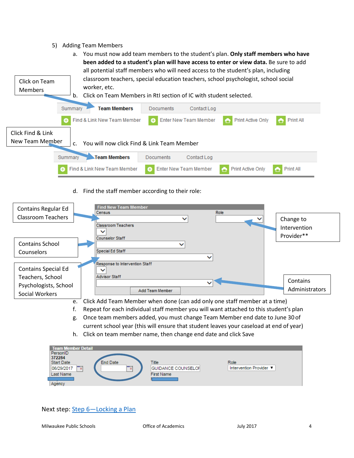- 5) Adding Team Members
- <span id="page-3-0"></span>a. You must now add team members to the student's plan. **Only staff members who have been added to a student's plan will have access to enter or view data.** Be sure to add all potential staff members who will need access to the student's plan, including classroom teachers, special education teachers, school psychologist, school social Click on Team worker, etc. Members b. Click on Team Members in RtI section of IC with student selected. **Team Members** Documents Summary Contact Log **Print Active Only** Print All  $\bullet$ Find & Link New Team Member **+** Enter New Team Member Click Find & Link New Team Member  $\begin{bmatrix} c \\ c \end{bmatrix}$  You will now click Find & Link Team Member Team Members Documents Summary Contact Log Find & Link New Team Member Enter New Team Member **Print Active Only** Print All  $\bullet$  $\bullet$ Ō
	- d. Find the staff member according to their role:

| <b>Contains Regular Ed</b><br><b>Classroom Teachers</b> | <b>Find New Team Member</b><br>Role<br>Census<br>◡<br>$\checkmark$                                                                                                     | Change to                  |
|---------------------------------------------------------|------------------------------------------------------------------------------------------------------------------------------------------------------------------------|----------------------------|
|                                                         | <b>Classroom Teachers</b>                                                                                                                                              | Intervention<br>Provider** |
| <b>Contains School</b>                                  | <b>Counselor Staff</b><br>◡                                                                                                                                            |                            |
| <b>Counselors</b>                                       | <b>Special Ed Staff</b>                                                                                                                                                |                            |
| <b>Contains Special Ed</b>                              | Response to Intervention Staff                                                                                                                                         |                            |
| Teachers, School                                        | <b>Advisor Staff</b>                                                                                                                                                   | Contains                   |
| Psychologists, School<br>Social Workers                 | Add Team Member                                                                                                                                                        | Administrators             |
| e.                                                      | Click Add Team Member when done (can add only one staff member at a time)                                                                                              |                            |
|                                                         | Repeat for each individual staff member you will want attached to this student's plan                                                                                  |                            |
| g.                                                      | Once team members added, you must change Team Member end date to June 30 of<br>current school year (this will ensure that student leaves your caseload at end of year) |                            |

h. Click on team member name, then change end date and click Save

| <b>Team Member Detail</b>     |                           |                         |
|-------------------------------|---------------------------|-------------------------|
| PersonID<br>372284            |                           |                         |
| <b>Start Date</b><br>End Date | <b>Title</b>              | Role                    |
| 06/29/2017<br>Ta,<br>₩        | <b>GUIDANCE COUNSELOI</b> | Intervention Provider ▼ |
| Last Name                     | <b>First Name</b>         |                         |
| Agency                        |                           |                         |

Next step: Step 6-Locking a Plan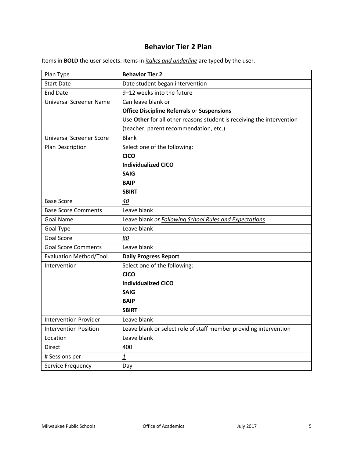### **Behavior Tier 2 Plan**

<span id="page-4-0"></span>

| Plan Type                       | <b>Behavior Tier 2</b>                                                |
|---------------------------------|-----------------------------------------------------------------------|
| <b>Start Date</b>               | Date student began intervention                                       |
| <b>End Date</b>                 | 9-12 weeks into the future                                            |
| <b>Universal Screener Name</b>  | Can leave blank or                                                    |
|                                 | <b>Office Discipline Referrals or Suspensions</b>                     |
|                                 | Use Other for all other reasons student is receiving the intervention |
|                                 | (teacher, parent recommendation, etc.)                                |
| <b>Universal Screener Score</b> | <b>Blank</b>                                                          |
| Plan Description                | Select one of the following:                                          |
|                                 | <b>CICO</b>                                                           |
|                                 | <b>Individualized CICO</b>                                            |
|                                 | <b>SAIG</b>                                                           |
|                                 | <b>BAIP</b>                                                           |
|                                 | <b>SBIRT</b>                                                          |
| <b>Base Score</b>               | 40                                                                    |
| <b>Base Score Comments</b>      | Leave blank                                                           |
| <b>Goal Name</b>                | Leave blank or Following School Rules and Expectations                |
| Goal Type                       | Leave blank                                                           |
| <b>Goal Score</b>               | 80                                                                    |
| <b>Goal Score Comments</b>      | Leave blank                                                           |
| <b>Evaluation Method/Tool</b>   | <b>Daily Progress Report</b>                                          |
| Intervention                    | Select one of the following:                                          |
|                                 | <b>CICO</b>                                                           |
|                                 | <b>Individualized CICO</b>                                            |
|                                 | <b>SAIG</b>                                                           |
|                                 | <b>BAIP</b>                                                           |
|                                 | <b>SBIRT</b>                                                          |
| <b>Intervention Provider</b>    | Leave blank                                                           |
| <b>Intervention Position</b>    | Leave blank or select role of staff member providing intervention     |
| Location                        | Leave blank                                                           |
| <b>Direct</b>                   | 400                                                                   |
| # Sessions per                  | $\overline{\mathbf{1}}$                                               |
| Service Frequency               | Day                                                                   |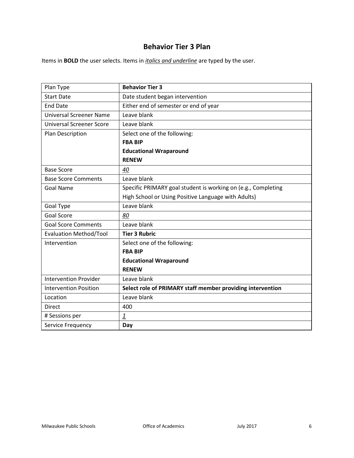## **Behavior Tier 3 Plan**

<span id="page-5-0"></span>

| Plan Type                       | <b>Behavior Tier 3</b>                                        |
|---------------------------------|---------------------------------------------------------------|
| <b>Start Date</b>               | Date student began intervention                               |
| <b>End Date</b>                 | Either end of semester or end of year                         |
| <b>Universal Screener Name</b>  | Leave blank                                                   |
| <b>Universal Screener Score</b> | Leave blank                                                   |
| Plan Description                | Select one of the following:                                  |
|                                 | <b>FBA BIP</b>                                                |
|                                 | <b>Educational Wraparound</b>                                 |
|                                 | <b>RENEW</b>                                                  |
| <b>Base Score</b>               | 40                                                            |
| <b>Base Score Comments</b>      | Leave blank                                                   |
| <b>Goal Name</b>                | Specific PRIMARY goal student is working on (e.g., Completing |
|                                 | High School or Using Positive Language with Adults)           |
| Goal Type                       | Leave blank                                                   |
| <b>Goal Score</b>               | 80                                                            |
| <b>Goal Score Comments</b>      | Leave blank                                                   |
| <b>Evaluation Method/Tool</b>   | <b>Tier 3 Rubric</b>                                          |
| Intervention                    | Select one of the following:                                  |
|                                 | <b>FBA BIP</b>                                                |
|                                 | <b>Educational Wraparound</b>                                 |
|                                 | <b>RENEW</b>                                                  |
| <b>Intervention Provider</b>    | Leave blank                                                   |
| <b>Intervention Position</b>    | Select role of PRIMARY staff member providing intervention    |
| Location                        | Leave blank                                                   |
| <b>Direct</b>                   | 400                                                           |
| # Sessions per                  | $\overline{1}$                                                |
| Service Frequency               | Day                                                           |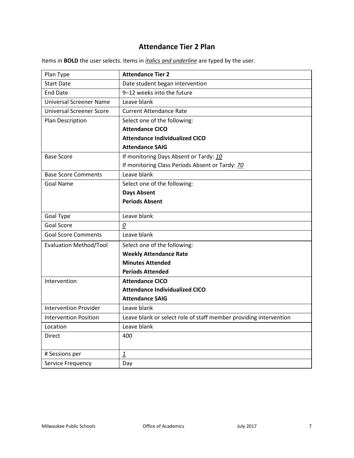# **Attendance Tier 2 Plan**

<span id="page-6-0"></span>

| Plan Type                       | <b>Attendance Tier 2</b>                                          |
|---------------------------------|-------------------------------------------------------------------|
| <b>Start Date</b>               | Date student began intervention                                   |
| <b>End Date</b>                 | 9-12 weeks into the future                                        |
| <b>Universal Screener Name</b>  | Leave blank                                                       |
| <b>Universal Screener Score</b> | <b>Current Attendance Rate</b>                                    |
| Plan Description                | Select one of the following:                                      |
|                                 | <b>Attendance CICO</b>                                            |
|                                 | <b>Attendance Individualized CICO</b>                             |
|                                 | <b>Attendance SAIG</b>                                            |
| <b>Base Score</b>               | If monitoring Days Absent or Tardy: 10                            |
|                                 | If monitoring Class Periods Absent or Tardy: 70                   |
| <b>Base Score Comments</b>      | Leave blank                                                       |
| <b>Goal Name</b>                | Select one of the following:                                      |
|                                 | <b>Days Absent</b>                                                |
|                                 | <b>Periods Absent</b>                                             |
| Goal Type                       | Leave blank                                                       |
| <b>Goal Score</b>               | 0                                                                 |
| <b>Goal Score Comments</b>      | Leave blank                                                       |
| <b>Evaluation Method/Tool</b>   | Select one of the following:                                      |
|                                 | <b>Weekly Attendance Rate</b>                                     |
|                                 | <b>Minutes Attended</b>                                           |
|                                 | <b>Periods Attended</b>                                           |
| Intervention                    | <b>Attendance CICO</b>                                            |
|                                 | <b>Attendance Individualized CICO</b>                             |
|                                 | <b>Attendance SAIG</b>                                            |
| <b>Intervention Provider</b>    | Leave blank                                                       |
| <b>Intervention Position</b>    | Leave blank or select role of staff member providing intervention |
| Location                        | Leave blank                                                       |
| <b>Direct</b>                   | 400                                                               |
|                                 |                                                                   |
| # Sessions per                  | $\overline{1}$                                                    |
| Service Frequency               | Day                                                               |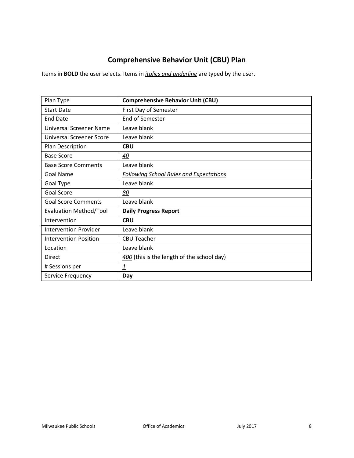# **Comprehensive Behavior Unit (CBU) Plan**

<span id="page-7-0"></span>

| Plan Type                     | <b>Comprehensive Behavior Unit (CBU)</b>       |
|-------------------------------|------------------------------------------------|
| <b>Start Date</b>             | First Day of Semester                          |
| <b>End Date</b>               | End of Semester                                |
| Universal Screener Name       | Leave blank                                    |
| Universal Screener Score      | Leave blank                                    |
| Plan Description              | <b>CBU</b>                                     |
| <b>Base Score</b>             | 40                                             |
| <b>Base Score Comments</b>    | Leave blank                                    |
| Goal Name                     | <b>Following School Rules and Expectations</b> |
| Goal Type                     | Leave blank                                    |
| Goal Score                    | <u>80</u>                                      |
| <b>Goal Score Comments</b>    | Leave blank                                    |
| <b>Evaluation Method/Tool</b> | <b>Daily Progress Report</b>                   |
| Intervention                  | <b>CBU</b>                                     |
| Intervention Provider         | Leave blank                                    |
| <b>Intervention Position</b>  | <b>CBU Teacher</b>                             |
| Location                      | Leave blank                                    |
| <b>Direct</b>                 | 400 (this is the length of the school day)     |
| # Sessions per                | $\overline{1}$                                 |
| Service Frequency             | Day                                            |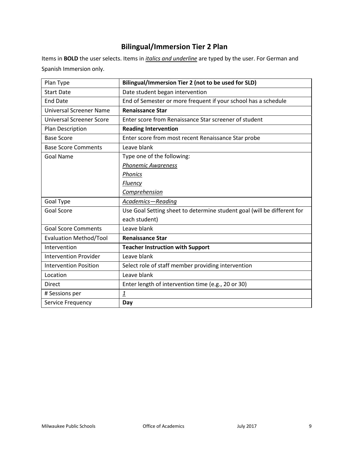# **Bilingual/Immersion Tier 2 Plan**

<span id="page-8-0"></span>Items in **BOLD** the user selects. Items in *italics and underline* are typed by the user. For German and Spanish Immersion only.

| Plan Type                       | Bilingual/Immersion Tier 2 (not to be used for SLD)                     |
|---------------------------------|-------------------------------------------------------------------------|
| <b>Start Date</b>               | Date student began intervention                                         |
| <b>End Date</b>                 | End of Semester or more frequent if your school has a schedule          |
| <b>Universal Screener Name</b>  | <b>Renaissance Star</b>                                                 |
| <b>Universal Screener Score</b> | Enter score from Renaissance Star screener of student                   |
| Plan Description                | <b>Reading Intervention</b>                                             |
| <b>Base Score</b>               | Enter score from most recent Renaissance Star probe                     |
| <b>Base Score Comments</b>      | Leave blank                                                             |
| <b>Goal Name</b>                | Type one of the following:                                              |
|                                 | <b>Phonemic Awareness</b>                                               |
|                                 | Phonics                                                                 |
|                                 | <b>Fluency</b>                                                          |
|                                 | <b>Comprehension</b>                                                    |
| Goal Type                       | Academics-Reading                                                       |
| Goal Score                      | Use Goal Setting sheet to determine student goal (will be different for |
|                                 | each student)                                                           |
| <b>Goal Score Comments</b>      | Leave blank                                                             |
| <b>Evaluation Method/Tool</b>   | <b>Renaissance Star</b>                                                 |
| Intervention                    | <b>Teacher Instruction with Support</b>                                 |
| <b>Intervention Provider</b>    | Leave blank                                                             |
| <b>Intervention Position</b>    | Select role of staff member providing intervention                      |
| Location                        | Leave blank                                                             |
| <b>Direct</b>                   | Enter length of intervention time (e.g., 20 or 30)                      |
| # Sessions per                  | $\overline{1}$                                                          |
| Service Frequency               | Day                                                                     |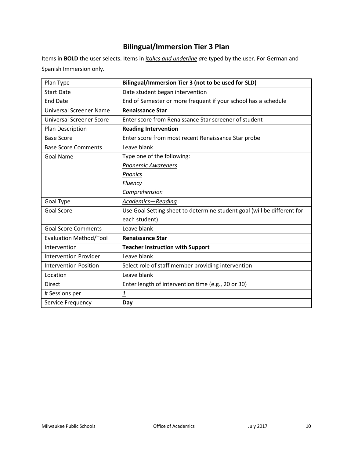# **Bilingual/Immersion Tier 3 Plan**

<span id="page-9-0"></span>Items in **BOLD** the user selects. Items in *italics and underline a*re typed by the user. For German and Spanish Immersion only.

| Plan Type                       | Bilingual/Immersion Tier 3 (not to be used for SLD)                     |
|---------------------------------|-------------------------------------------------------------------------|
| <b>Start Date</b>               | Date student began intervention                                         |
| <b>End Date</b>                 | End of Semester or more frequent if your school has a schedule          |
| <b>Universal Screener Name</b>  | <b>Renaissance Star</b>                                                 |
| <b>Universal Screener Score</b> | Enter score from Renaissance Star screener of student                   |
| Plan Description                | <b>Reading Intervention</b>                                             |
| <b>Base Score</b>               | Enter score from most recent Renaissance Star probe                     |
| <b>Base Score Comments</b>      | Leave blank                                                             |
| Goal Name                       | Type one of the following:                                              |
|                                 | <b>Phonemic Awareness</b>                                               |
|                                 | <b>Phonics</b>                                                          |
|                                 | <b>Fluency</b>                                                          |
|                                 | Comprehension                                                           |
| Goal Type                       | Academics-Reading                                                       |
| <b>Goal Score</b>               | Use Goal Setting sheet to determine student goal (will be different for |
|                                 | each student)                                                           |
| <b>Goal Score Comments</b>      | Leave blank                                                             |
| <b>Evaluation Method/Tool</b>   | <b>Renaissance Star</b>                                                 |
| Intervention                    | <b>Teacher Instruction with Support</b>                                 |
| <b>Intervention Provider</b>    | Leave blank                                                             |
| <b>Intervention Position</b>    | Select role of staff member providing intervention                      |
| Location                        | Leave blank                                                             |
| <b>Direct</b>                   | Enter length of intervention time (e.g., 20 or 30)                      |
| # Sessions per                  | $\overline{1}$                                                          |
| Service Frequency               | Day                                                                     |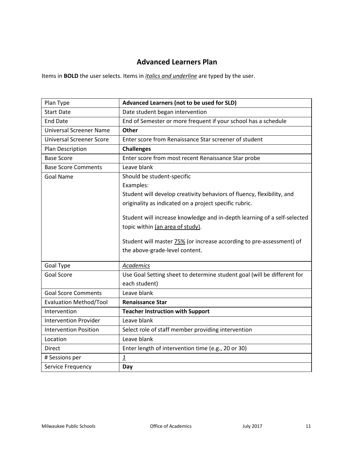# **Advanced Learners Plan**

<span id="page-10-0"></span>

| Plan Type                       | Advanced Learners (not to be used for SLD)                                  |
|---------------------------------|-----------------------------------------------------------------------------|
| <b>Start Date</b>               | Date student began intervention                                             |
| <b>End Date</b>                 | End of Semester or more frequent if your school has a schedule              |
| <b>Universal Screener Name</b>  | Other                                                                       |
| <b>Universal Screener Score</b> | Enter score from Renaissance Star screener of student                       |
| Plan Description                | <b>Challenges</b>                                                           |
| <b>Base Score</b>               | Enter score from most recent Renaissance Star probe                         |
| <b>Base Score Comments</b>      | Leave blank                                                                 |
| <b>Goal Name</b>                | Should be student-specific                                                  |
|                                 | Examples:                                                                   |
|                                 | Student will develop creativity behaviors of fluency, flexibility, and      |
|                                 | originality as indicated on a project specific rubric.                      |
|                                 |                                                                             |
|                                 | Student will increase knowledge and in-depth learning of a self-selected    |
|                                 | topic within (an area of study).                                            |
|                                 | Student will master <b>75%</b> (or increase according to pre-assessment) of |
|                                 | the above-grade-level content.                                              |
|                                 |                                                                             |
| Goal Type                       | Academics                                                                   |
| <b>Goal Score</b>               | Use Goal Setting sheet to determine student goal (will be different for     |
|                                 | each student)                                                               |
| <b>Goal Score Comments</b>      | Leave blank                                                                 |
| <b>Evaluation Method/Tool</b>   | <b>Renaissance Star</b>                                                     |
| Intervention                    | <b>Teacher Instruction with Support</b>                                     |
| <b>Intervention Provider</b>    | Leave blank                                                                 |
| <b>Intervention Position</b>    | Select role of staff member providing intervention                          |
| Location                        | Leave blank                                                                 |
| <b>Direct</b>                   | Enter length of intervention time (e.g., 20 or 30)                          |
| # Sessions per                  | 1                                                                           |
| Service Frequency               | Day                                                                         |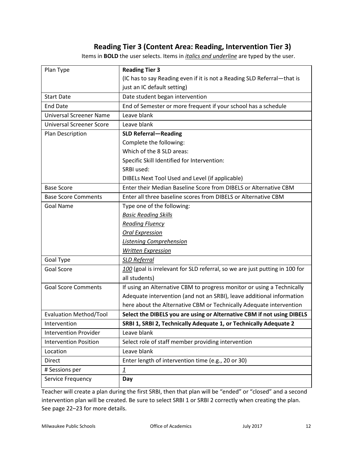### **Reading Tier 3 (Content Area: Reading, Intervention Tier 3)**

Items in **BOLD** the user selects. Items in *italics and underline* are typed by the user.

<span id="page-11-0"></span>

| Plan Type                       | <b>Reading Tier 3</b>                                                       |
|---------------------------------|-----------------------------------------------------------------------------|
|                                 | (IC has to say Reading even if it is not a Reading SLD Referral-that is     |
|                                 | just an IC default setting)                                                 |
| <b>Start Date</b>               | Date student began intervention                                             |
| <b>End Date</b>                 | End of Semester or more frequent if your school has a schedule              |
| <b>Universal Screener Name</b>  | Leave blank                                                                 |
| <b>Universal Screener Score</b> | Leave blank                                                                 |
| Plan Description                | <b>SLD Referral-Reading</b>                                                 |
|                                 | Complete the following:                                                     |
|                                 | Which of the 8 SLD areas:                                                   |
|                                 | Specific Skill Identified for Intervention:                                 |
|                                 | SRBI used:                                                                  |
|                                 | DIBELs Next Tool Used and Level (if applicable)                             |
| <b>Base Score</b>               | Enter their Median Baseline Score from DIBELS or Alternative CBM            |
| <b>Base Score Comments</b>      | Enter all three baseline scores from DIBELS or Alternative CBM              |
| <b>Goal Name</b>                | Type one of the following:                                                  |
|                                 | <b>Basic Reading Skills</b>                                                 |
|                                 | <b>Reading Fluency</b>                                                      |
|                                 | <b>Oral Expression</b>                                                      |
|                                 | <b>Listening Comprehension</b>                                              |
|                                 | <b>Written Expression</b>                                                   |
| Goal Type                       | <b>SLD Referral</b>                                                         |
| Goal Score                      | 100 (goal is irrelevant for SLD referral, so we are just putting in 100 for |
|                                 | all students)                                                               |
| <b>Goal Score Comments</b>      | If using an Alternative CBM to progress monitor or using a Technically      |
|                                 | Adequate intervention (and not an SRBI), leave additional information       |
|                                 | here about the Alternative CBM or Technically Adequate intervention         |
| <b>Evaluation Method/Tool</b>   | Select the DIBELS you are using or Alternative CBM if not using DIBELS      |
| Intervention                    | SRBI 1, SRBI 2, Technically Adequate 1, or Technically Adequate 2           |
| <b>Intervention Provider</b>    | Leave blank                                                                 |
| <b>Intervention Position</b>    | Select role of staff member providing intervention                          |
| Location                        | Leave blank                                                                 |
| <b>Direct</b>                   | Enter length of intervention time (e.g., 20 or 30)                          |
| # Sessions per                  | $\overline{\mathbf{1}}$                                                     |
| Service Frequency               | Day                                                                         |
|                                 |                                                                             |

Teacher will create a plan during the first SRBI, then that plan will be "ended" or "closed" and a second intervention plan will be created. Be sure to select SRBI 1 or SRBI 2 correctly when creating the plan. See page 22–23 for more details.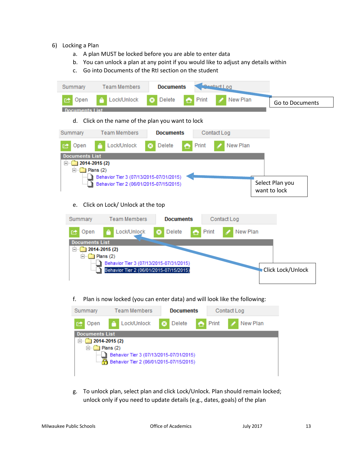- <span id="page-12-0"></span>6) Locking a Plan
	- a. A plan MUST be locked before you are able to enter data
	- b. You can unlock a plan at any point if you would like to adjust any details within
	- c. Go into Documents of the RtI section on the student



g. To unlock plan, select plan and click Lock/Unlock. Plan should remain locked; unlock only if you need to update details (e.g., dates, goals) of the plan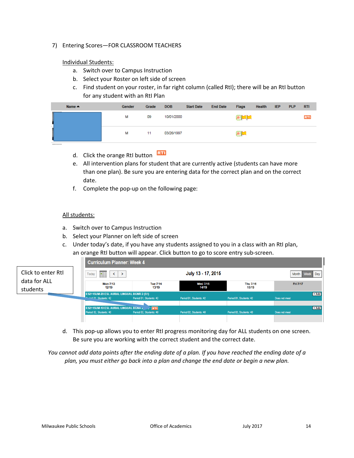<span id="page-13-0"></span>7) Entering Scores—FOR CLASSROOM TEACHERS

### Individual Students:

- a. Switch over to Campus Instruction
- b. Select your Roster on left side of screen
- c. Find student on your roster, in far right column (called RtI); there will be an RtI button for any student with an RtI Plan

| Name $\triangle$ | <b>Gender</b> | Grade | <b>DOB</b> | <b>Start Date</b> | <b>End Date</b> | <b>Flags</b> | Health | <b>IEP</b> | <b>PLP</b> | <b>RTI</b> |
|------------------|---------------|-------|------------|-------------------|-----------------|--------------|--------|------------|------------|------------|
| q                | м             | 09    | 10/01/2000 |                   |                 | 困難調          |        |            |            | <b>RTI</b> |
| Ī                | м             | 11    | 03/26/1997 |                   |                 | 困难           |        |            |            |            |

- d. Click the orange RtI button
- e. All intervention plans for student that are currently active (students can have more than one plan). Be sure you are entering data for the correct plan and on the correct date.
- f. Complete the pop-up on the following page:

### All students:

a. Switch over to Campus Instruction

the control of the control of the con-

- b. Select your Planner on left side of screen
- c. Under today's date, if you have any students assigned to you in a class with an RtI plan, an orange RtI button will appear. Click button to go to score entry sub-screen.

|                          | <b>Curriculum Planner: Week 4</b>                                                  |                          |                                  |                          |               |         |
|--------------------------|------------------------------------------------------------------------------------|--------------------------|----------------------------------|--------------------------|---------------|---------|
| Click to enter RtI       | H<br>Today<br>$\left\langle \right\rangle$<br>$\rightarrow$                        |                          | July 13 - 17, 2015<br>Month Week |                          |               |         |
| data for ALL<br>students | <b>Mon 7/13</b><br>12/19                                                           | <b>Tue 7/14</b><br>13/19 | <b>Wed 7/15</b><br>14/19         | <b>Thu 7/16</b><br>15/19 | Fri 7/17      |         |
|                          | <b>ES211SUM-20 ESL AURAL LINGUAL BGNR 2 (S1)</b><br><b>Denind 01, Students: 42</b> | Period 01, Students: 42  | Period 01, Students: 42          | Period 01, Students: 42  | Does not meet | $+Add$  |
|                          | ES211SUM-10 ESL AURAL LINGUAL BGNR 4 Path RTI<br>Period 02. Students: 40           | Period 02, Students: 40  | Period 02, Students: 40          | Period 02, Students: 40  | Does not meet | $+ Add$ |
|                          |                                                                                    |                          |                                  |                          |               |         |

d. This pop-up allows you to enter RtI progress monitoring day for ALL students on one screen. Be sure you are working with the correct student and the correct date.

*You cannot add data points after the ending date of a plan. If you have reached the ending date of a plan, you must either go back into a plan and change the end date or begin a new plan.*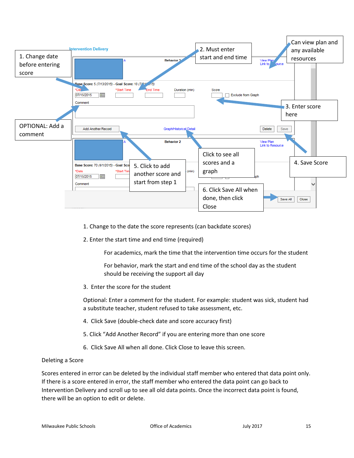| 1. Change date<br>before entering<br>score | Can view plan and<br><b>Intervention Delivery</b><br>2. Must enter<br>any available<br>start and end time<br>resources<br><b>Behavior 3</b><br>View Plan<br>Link to<br><b>Nource</b>                                                                                                                                          |
|--------------------------------------------|-------------------------------------------------------------------------------------------------------------------------------------------------------------------------------------------------------------------------------------------------------------------------------------------------------------------------------|
| OPTIONAL: Add a                            | Rase Score: 5 (7/13/2015) - Goal Score: 10 (7/31 / 15)<br>*Dat<br><b>End Time</b><br>*Start Time<br>Duration (min)<br>Score<br>07/15/2015<br>Exclude from Graph<br>Comment<br>3. Enter score<br>here                                                                                                                          |
| comment                                    | Add Another Record<br>Graph/Historical Detail<br>Save<br><b>Delete</b><br>View Plan<br><b>Behavior 2</b><br>Link to Resource<br>Click to see all<br>4. Save Score<br>scores and a<br>Base Score: 70 (6/1/2015) - Goal Sco<br>5. Click to add<br>graph<br>*Date<br>*Start Tin<br>(min)<br>another score and<br>07/15/2015<br>E |
|                                            | start from step 1<br>Comment<br>6. Click Save All when<br>done, then click<br>Save All<br>Close<br>Close                                                                                                                                                                                                                      |

- <span id="page-14-1"></span>1. Change to the date the score represents (can backdate scores)
- 2. Enter the start time and end time (required)

For academics, mark the time that the intervention time occurs for the student

For behavior, mark the start and end time of the school day as the student should be receiving the support all day

3. Enter the score for the student

Optional: Enter a comment for the student. For example: student was sick, student had a substitute teacher, student refused to take assessment, etc.

- 4. Click Save (double-check date and score accuracy first)
- 5. Click "Add Another Record" if you are entering more than one score
- 6. Click Save All when all done. Click Close to leave this screen.

### <span id="page-14-0"></span>Deleting a Score

Scores entered in error can be deleted by the individual staff member who entered that data point only. If there is a score entered in error, the staff member who entered the data point can go back to Intervention Delivery and scroll up to see all old data points. Once the incorrect data point is found, there will be an option to edit or delete.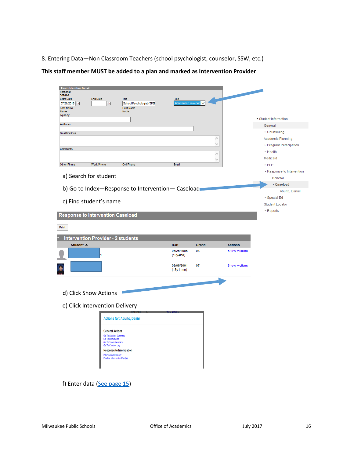<span id="page-15-0"></span>8. Entering Data—Non Classroom Teachers (school psychologist, counselor, SSW, etc.)

**This staff member MUST be added to a plan and marked as Intervention Provider**

| <b>Team Member Detail</b><br>PersonID |                                                 |                                    |                                                  |             |                     |                            |
|---------------------------------------|-------------------------------------------------|------------------------------------|--------------------------------------------------|-------------|---------------------|----------------------------|
| 387406<br><b>Start Date</b>           | <b>End Date</b>                                 | Title                              | Role                                             |             |                     |                            |
| 07/20/2015                            | œ                                               | School Psychologist (SPEI          | Intervention Provider                            |             |                     |                            |
| <b>Last Name</b>                      |                                                 | <b>First Name</b>                  |                                                  |             |                     |                            |
| <b>Flores</b><br>Agency               |                                                 | Nydia                              |                                                  |             |                     |                            |
|                                       |                                                 |                                    |                                                  |             |                     | ▼ Student Information      |
| Address                               |                                                 |                                    |                                                  |             |                     | General                    |
| Qualifications                        |                                                 |                                    |                                                  |             |                     | ▶ Counseling               |
|                                       |                                                 |                                    |                                                  | $\wedge$    |                     | Academic Planning          |
|                                       |                                                 |                                    |                                                  | $\searrow$  |                     | ▶ Program Participation    |
| Comments                              |                                                 |                                    |                                                  |             |                     | ▶ Health                   |
|                                       |                                                 |                                    |                                                  | Λ<br>$\vee$ |                     | Medicaid                   |
| <b>Other Phone</b>                    | <b>Work Phone</b>                               | Cell Phone                         | Email                                            |             |                     | $>$ PLP                    |
|                                       |                                                 |                                    |                                                  |             |                     | ▼ Response to Intervention |
|                                       | a) Search for student                           |                                    |                                                  |             |                     | General                    |
|                                       |                                                 |                                    |                                                  |             |                     | ▼ Caseload                 |
|                                       |                                                 |                                    | b) Go to Index-Response to Intervention-Caseload |             |                     | Aburto, Daniel             |
|                                       |                                                 |                                    |                                                  |             |                     | ▶ Special Ed               |
|                                       | c) Find student's name                          |                                    |                                                  |             |                     |                            |
|                                       |                                                 |                                    |                                                  |             |                     | <b>Student Locator</b>     |
|                                       | <b>Response to Intervention Caseload</b>        |                                    |                                                  |             |                     | $\triangleright$ Reports   |
|                                       |                                                 |                                    |                                                  |             |                     |                            |
| Print                                 |                                                 |                                    |                                                  |             |                     |                            |
|                                       |                                                 |                                    |                                                  |             |                     |                            |
|                                       | <b>Intervention Provider - 2 students</b>       |                                    |                                                  |             |                     |                            |
| Student $\triangle$                   |                                                 |                                    | <b>DOB</b>                                       | Grade       | <b>Actions</b>      |                            |
|                                       | 1                                               |                                    | 03/25/2005<br>(10y4mo)                           | 03          | <b>Show Actions</b> |                            |
|                                       |                                                 |                                    |                                                  |             |                     |                            |
|                                       |                                                 |                                    | 08/06/2001<br>(13y11mo)                          | 07          | <b>Show Actions</b> |                            |
|                                       |                                                 |                                    |                                                  |             |                     |                            |
|                                       |                                                 |                                    |                                                  |             |                     |                            |
|                                       | d) Click Show Actions                           |                                    |                                                  |             |                     |                            |
|                                       | e) Click Intervention Delivery                  |                                    |                                                  |             |                     |                            |
|                                       |                                                 | <b>Actions for: Aburto, Daniel</b> |                                                  |             |                     |                            |
|                                       |                                                 |                                    |                                                  |             |                     |                            |
|                                       | <b>General Actions</b><br>Go To Student Summary |                                    |                                                  |             |                     |                            |
|                                       | Go To Documents                                 |                                    |                                                  |             |                     |                            |
|                                       | <b>Go To Team Members</b><br>Go To Contact Log  |                                    |                                                  |             |                     |                            |
|                                       |                                                 | <b>Response to Intervention</b>    |                                                  |             |                     |                            |
|                                       | Intervention Delivery                           | Finalize Intervention Plan(s)      |                                                  |             |                     |                            |
|                                       |                                                 |                                    |                                                  |             |                     |                            |
|                                       |                                                 |                                    |                                                  |             |                     |                            |
|                                       |                                                 |                                    |                                                  |             |                     |                            |
|                                       | f) Enter data (See page 15)                     |                                    |                                                  |             |                     |                            |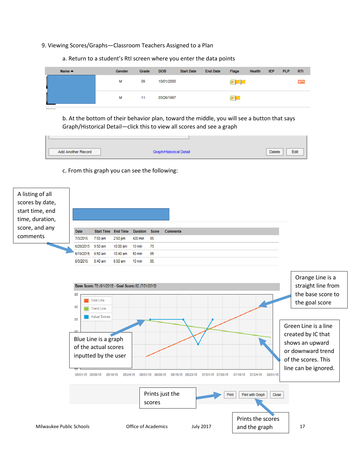#### <span id="page-16-0"></span>9. Viewing Scores/Graphs—Classroom Teachers Assigned to a Plan

a. Return to a student's RtI screen where you enter the data points

| Name $\triangle$ | <b>Gender</b> | Grade | <b>DOB</b> | <b>Start Date</b> | <b>End Date</b> | <b>Flags</b> | Health | <b>IEP</b> | <b>PLP</b> | - RTI      |
|------------------|---------------|-------|------------|-------------------|-----------------|--------------|--------|------------|------------|------------|
| l                | М             | 09    | 10/01/2000 |                   |                 | 困難           |        |            |            | <b>RTI</b> |
| İ                | м             | 11    | 03/26/1997 |                   |                 | 困口           |        |            |            |            |

b. At the bottom of their behavior plan, toward the middle, you will see a button that says Graph/Historical Detail—click this to view all scores and see a graph



#### c. From this graph you can see the following:



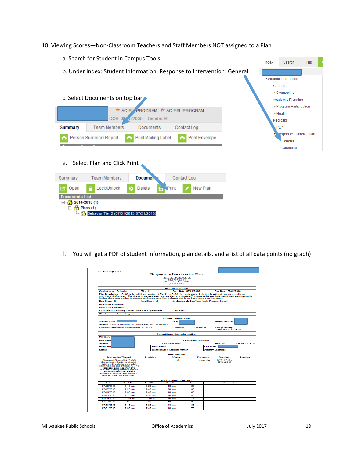<span id="page-17-0"></span>10. Viewing Scores—Non-Classroom Teachers and Staff Members NOT assigned to a Plan

| a. Search for Student in Campus Tools                                                                                                                                          | Index                                            | Search                                          | Help |  |  |  |  |
|--------------------------------------------------------------------------------------------------------------------------------------------------------------------------------|--------------------------------------------------|-------------------------------------------------|------|--|--|--|--|
| b. Under Index: Student Information: Response to Intervention: General                                                                                                         | ▼ Student Information<br>General<br>▶ Counseling |                                                 |      |  |  |  |  |
| c. Select Documents on top bar                                                                                                                                                 |                                                  | Academic Planning                               |      |  |  |  |  |
| Y AC-BI PROGRAM Y AC-ESL PROGRAM<br>DOB: 02 5/2005 Gender: M                                                                                                                   |                                                  | ▶ Program Participation<br>► Health<br>Medicaid |      |  |  |  |  |
| <b>Team Members</b><br><b>Documents</b><br><b>Summary</b><br>Contact Log                                                                                                       |                                                  | <b>PLP</b>                                      |      |  |  |  |  |
| Person Summary Report<br>Print Mailing Label<br><b>Print Envelope</b><br>⇔<br>e<br>Select Plan and Click Print<br>e.                                                           |                                                  | sponse to Intervention<br>General<br>Caseload   |      |  |  |  |  |
| <b>Team Members</b><br>Docume <sub>l</sub><br>Contact Log<br>Summary                                                                                                           |                                                  |                                                 |      |  |  |  |  |
| Lock/Unlock<br>Print<br>New Plan<br>Delete<br>Open<br><b>Documents List</b><br>$\Box$ 2014-2015 (1)<br>$\mathbf{P}$ Plans (1)<br>Ėŀ<br>Behavior Tier 2 (07/01/2015-07/31/2015) |                                                  |                                                 |      |  |  |  |  |

f. You will get a PDF of student information, plan details, and a list of all data points (no graph)

|                                                                    |                                 |                                                                                                                                                                                                                                                                                                                                                                                     | <b>Response to Intervention Plan</b>         |                        |                            |                                 |                                                      |                 |
|--------------------------------------------------------------------|---------------------------------|-------------------------------------------------------------------------------------------------------------------------------------------------------------------------------------------------------------------------------------------------------------------------------------------------------------------------------------------------------------------------------------|----------------------------------------------|------------------------|----------------------------|---------------------------------|------------------------------------------------------|-----------------|
|                                                                    |                                 |                                                                                                                                                                                                                                                                                                                                                                                     | Milwaukee Public Schools<br>\$225 W Viter St |                        |                            |                                 |                                                      |                 |
|                                                                    |                                 |                                                                                                                                                                                                                                                                                                                                                                                     | Milwaukee, WI 53208                          |                        |                            |                                 |                                                      |                 |
|                                                                    |                                 |                                                                                                                                                                                                                                                                                                                                                                                     | $(414)475 - 8393$                            |                        |                            |                                 |                                                      |                 |
|                                                                    |                                 |                                                                                                                                                                                                                                                                                                                                                                                     | <b>Plan Information</b>                      |                        |                            |                                 |                                                      |                 |
| <b>Content Area: Behavior</b>                                      |                                 | Tier: 2                                                                                                                                                                                                                                                                                                                                                                             |                                              | Start Date: 07/01/2015 |                            |                                 | End Date: 07/31/2015                                 |                 |
|                                                                    |                                 | Plan Description: CICO is the initial intervention at Tier 2. In CICO, the student checks in briefly with a designated adult each<br>morning and afternoon. The check-in process lasts no more than two minutes. Throughout the day the student must also meet with<br>his/her classroom teacher to discuss positives around their behavior and to continue to work on their goals. |                                              |                        |                            |                                 |                                                      |                 |
| Base Score: 40                                                     |                                 | Goal Score: 80                                                                                                                                                                                                                                                                                                                                                                      |                                              |                        |                            |                                 | <b>Evaluation Method/Tool: Daily Progress Report</b> |                 |
| <b>Base Score Comments:</b>                                        |                                 |                                                                                                                                                                                                                                                                                                                                                                                     |                                              |                        |                            |                                 |                                                      |                 |
| <b>Goal Score Comments:</b>                                        |                                 |                                                                                                                                                                                                                                                                                                                                                                                     |                                              |                        |                            |                                 |                                                      |                 |
|                                                                    |                                 | Goal Name: Following School Rules and Expectations                                                                                                                                                                                                                                                                                                                                  | <b>Goal Type:</b>                            |                        |                            |                                 |                                                      |                 |
| <b>Plan Success: Plan in Progress</b>                              |                                 |                                                                                                                                                                                                                                                                                                                                                                                     |                                              |                        |                            |                                 |                                                      |                 |
|                                                                    |                                 |                                                                                                                                                                                                                                                                                                                                                                                     |                                              |                        |                            |                                 |                                                      |                 |
|                                                                    |                                 |                                                                                                                                                                                                                                                                                                                                                                                     | <b>Student Information</b><br><b>DOR</b>     |                        |                            |                                 |                                                      |                 |
| <b>Student Name:</b>                                               |                                 |                                                                                                                                                                                                                                                                                                                                                                                     |                                              |                        |                            |                                 | <b>Student Number:</b>                               |                 |
|                                                                    |                                 | Address: 2335 W Bumham ST Milwaukee, WI 53204-3033                                                                                                                                                                                                                                                                                                                                  |                                              |                        |                            |                                 |                                                      |                 |
| <b>School of Attendance: GREENFIELD SCHOOL</b>                     |                                 |                                                                                                                                                                                                                                                                                                                                                                                     | Grade: 03                                    |                        | <b>Gender: M</b>           |                                 | <b>Race (Ethnicity</b><br>Code): Hispanic/Latino     |                 |
|                                                                    |                                 |                                                                                                                                                                                                                                                                                                                                                                                     | <b>Parent/Guardian Information</b>           |                        |                            |                                 |                                                      |                 |
| Parent/G                                                           |                                 |                                                                                                                                                                                                                                                                                                                                                                                     |                                              |                        |                            |                                 |                                                      |                 |
|                                                                    |                                 |                                                                                                                                                                                                                                                                                                                                                                                     |                                              |                        |                            |                                 |                                                      |                 |
| Last Name                                                          |                                 |                                                                                                                                                                                                                                                                                                                                                                                     |                                              |                        | <b>First Name: YESENIA</b> |                                 |                                                      |                 |
| <b>Address:</b>                                                    |                                 |                                                                                                                                                                                                                                                                                                                                                                                     | <b>City: Milwaukee</b>                       |                        |                            |                                 | State: WI                                            |                 |
| <b>Home Pho</b>                                                    |                                 | <b>Work Phone:</b>                                                                                                                                                                                                                                                                                                                                                                  |                                              |                        |                            | <b>Cell Phone:</b>              |                                                      | Zip: 53204-3033 |
| <b>Email:</b>                                                      |                                 |                                                                                                                                                                                                                                                                                                                                                                                     | <b>Relationship to Student: Mother</b>       |                        |                            |                                 | <b>Primary Language:</b>                             |                 |
|                                                                    |                                 |                                                                                                                                                                                                                                                                                                                                                                                     |                                              |                        |                            |                                 |                                                      |                 |
| <b>Intervention Planned</b>                                        |                                 | <b>Providers</b>                                                                                                                                                                                                                                                                                                                                                                    | Intervention<br><b>Minutes</b>               |                        |                            |                                 | <b>Duration</b>                                      | Location        |
|                                                                    | Check-In/ Check-Out (CICO)      |                                                                                                                                                                                                                                                                                                                                                                                     | 10                                           |                        |                            | <b>Frequency</b><br>1.0 per day | 07/01/2015 -                                         |                 |
|                                                                    | (Description: Students check in |                                                                                                                                                                                                                                                                                                                                                                                     |                                              |                        |                            |                                 | 07/31/2015                                           |                 |
| each morning and afternoon. This                                   | briefly with a designated adult |                                                                                                                                                                                                                                                                                                                                                                                     |                                              |                        |                            |                                 |                                                      |                 |
| process lasts less than two                                        |                                 |                                                                                                                                                                                                                                                                                                                                                                                     |                                              |                        |                            |                                 |                                                      |                 |
| minutes. Throughout the day the                                    | student meets with his/her      |                                                                                                                                                                                                                                                                                                                                                                                     |                                              |                        |                            |                                 |                                                      |                 |
| classroom teacher to continue to<br>work on their behavior goals.) |                                 |                                                                                                                                                                                                                                                                                                                                                                                     |                                              |                        |                            |                                 |                                                      |                 |
|                                                                    |                                 |                                                                                                                                                                                                                                                                                                                                                                                     |                                              |                        |                            |                                 |                                                      |                 |
|                                                                    |                                 |                                                                                                                                                                                                                                                                                                                                                                                     | <b>Intervention Deliveries</b>               |                        |                            |                                 |                                                      |                 |
| Date<br>07/20/2015                                                 | <b>Start Time</b><br>9:10 am    | <b>End Time</b><br>9:20 am                                                                                                                                                                                                                                                                                                                                                          | <b>Duration</b><br>$10 \text{ min}$          | Score                  | 85                         |                                 | <b>Comments</b>                                      |                 |
|                                                                    |                                 |                                                                                                                                                                                                                                                                                                                                                                                     |                                              |                        | on                         |                                 |                                                      |                 |
| 07/17/2015                                                         | 9:20 am                         | 9.40 am                                                                                                                                                                                                                                                                                                                                                                             | 20 min                                       |                        |                            |                                 |                                                      |                 |
| 07/15/2015                                                         | 9:30 am                         | 9.40 am                                                                                                                                                                                                                                                                                                                                                                             | $10 \text{ min}$                             |                        | 85                         |                                 |                                                      |                 |
| 07/13/2015                                                         | 9:10 am                         | 9:30 am                                                                                                                                                                                                                                                                                                                                                                             | 20 min                                       |                        | 55                         |                                 |                                                      |                 |
| 07/09/2015                                                         | $10-10$ am                      | 10:40 am                                                                                                                                                                                                                                                                                                                                                                            | 30 min                                       |                        | 72                         |                                 |                                                      |                 |
| 07/07/2015<br>07/03/2015                                           | 9:20 am<br>9:10 am              | 9:30 am<br>9:20 am                                                                                                                                                                                                                                                                                                                                                                  | $10 \text{ min}$<br>$10 \text{ min}$         |                        | 85<br>RO                   |                                 |                                                      |                 |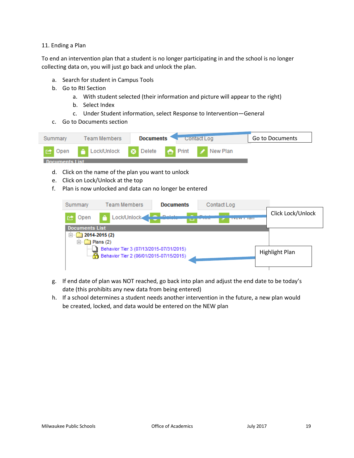#### <span id="page-18-0"></span>11. Ending a Plan

To end an intervention plan that a student is no longer participating in and the school is no longer collecting data on, you will just go back and unlock the plan.

- a. Search for student in Campus Tools
- b. Go to RtI Section
	- a. With student selected (their information and picture will appear to the right)
	- b. Select Index
	- c. Under Student information, select Response to Intervention—General
- c. Go to Documents section



- d. Click on the name of the plan you want to unlock
- e. Click on Lock/Unlock at the top
- f. Plan is now unlocked and data can no longer be entered

| Summary                           | <b>Team Members</b>                                                                | <b>Documents</b> | Contact Log |     |                       |
|-----------------------------------|------------------------------------------------------------------------------------|------------------|-------------|-----|-----------------------|
| Open                              | Lock/Unlock<br>m                                                                   |                  |             | тап | Click Lock/Unlock     |
| <b>Documents List</b><br>Fŀ<br>⊫⊡ | 2014-2015 (2)<br>Plans(2)                                                          |                  |             |     |                       |
|                                   | Behavior Tier 3 (07/13/2015-07/31/2015)<br>Behavior Tier 2 (06/01/2015-07/15/2015) |                  |             |     | <b>Highlight Plan</b> |

- g. If end date of plan was NOT reached, go back into plan and adjust the end date to be today's date (this prohibits any new data from being entered)
- h. If a school determines a student needs another intervention in the future, a new plan would be created, locked, and data would be entered on the NEW plan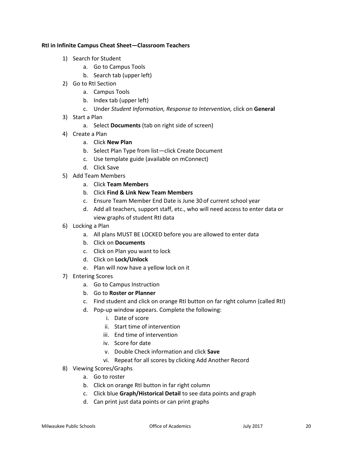### <span id="page-19-0"></span>**RtI in Infinite Campus Cheat Sheet—Classroom Teachers**

- 1) Search for Student
	- a. Go to Campus Tools
	- b. Search tab (upper left)
- 2) Go to RtI Section
	- a. Campus Tools
	- b. Index tab (upper left)
	- c. Under *Student Information, Response to Intervention,* click on **General**
- 3) Start a Plan
	- a. Select **Documents** (tab on right side of screen)
- 4) Create a Plan
	- a. Click **New Plan**
	- b. Select Plan Type from list—click Create Document
	- c. Use template guide (available on mConnect)
	- d. Click Save
- 5) Add Team Members
	- a. Click **Team Members**
	- b. Click **Find & Link New Team Members**
	- c. Ensure Team Member End Date is June 30 of current school year
	- d. Add all teachers, support staff, etc., who will need access to enter data or view graphs of student RtI data
- 6) Locking a Plan
	- a. All plans MUST BE LOCKED before you are allowed to enter data
	- b. Click on **Documents**
	- c. Click on Plan you want to lock
	- d. Click on **Lock/Unlock**
	- e. Plan will now have a yellow lock on it
- 7) Entering Scores
	- a. Go to Campus Instruction
	- b. Go to **Roster or Planner**
	- c. Find student and click on orange RtI button on far right column (called RtI)
	- d. Pop-up window appears. Complete the following:
		- i. Date of score
		- ii. Start time of intervention
		- iii. End time of intervention
		- iv. Score for date
		- v. Double Check information and click **Save**
		- vi. Repeat for all scores by clicking Add Another Record
- 8) Viewing Scores/Graphs
	- a. Go to roster
	- b. Click on orange RtI button in far right column
	- c. Click blue **Graph/Historical Detail** to see data points and graph
	- d. Can print just data points or can print graphs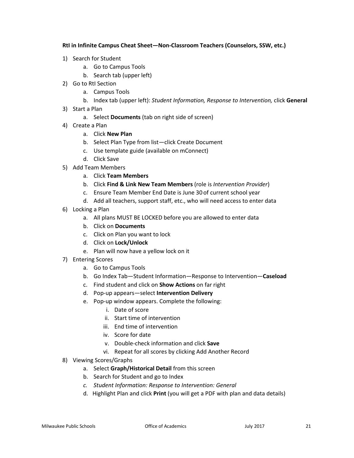**RtI in Infinite Campus Cheat Sheet—Non-Classroom Teachers (Counselors, SSW, etc.)**

- 1) Search for Student
	- a. Go to Campus Tools
	- b. Search tab (upper left)
- 2) Go to RtI Section
	- a. Campus Tools
	- b. Index tab (upper left): *Student Information, Response to Intervention,* click **General**
- 3) Start a Plan
	- a. Select **Documents** (tab on right side of screen)
- 4) Create a Plan
	- a. Click **New Plan**
	- b. Select Plan Type from list—click Create Document
	- c. Use template guide (available on mConnect)
	- d. Click Save
- 5) Add Team Members
	- a. Click **Team Members**
	- b. Click **Find & Link New Team Members** (role is *Intervention Provider*)
	- c. Ensure Team Member End Date is June 30 of current school year
	- d. Add all teachers, support staff, etc., who will need access to enter data
- 6) Locking a Plan
	- a. All plans MUST BE LOCKED before you are allowed to enter data
	- b. Click on **Documents**
	- c. Click on Plan you want to lock
	- d. Click on **Lock/Unlock**
	- e. Plan will now have a yellow lock on it
- 7) Entering Scores
	- a. Go to Campus Tools
	- b. Go Index Tab—Student Information—Response to Intervention—**Caseload**
	- c. Find student and click on **Show Actions** on far right
	- d. Pop-up appears—select **Intervention Delivery**
	- e. Pop-up window appears. Complete the following:
		- i. Date of score
		- ii. Start time of intervention
		- iii. End time of intervention
		- iv. Score for date
		- v. Double-check information and click **Save**
		- vi. Repeat for all scores by clicking Add Another Record
- 8) Viewing Scores/Graphs
	- a. Select **Graph/Historical Detail** from this screen
	- b. Search for Student and go to Index
	- *c. Student Information: Response to Intervention: General*
	- d. Highlight Plan and click **Print** (you will get a PDF with plan and data details)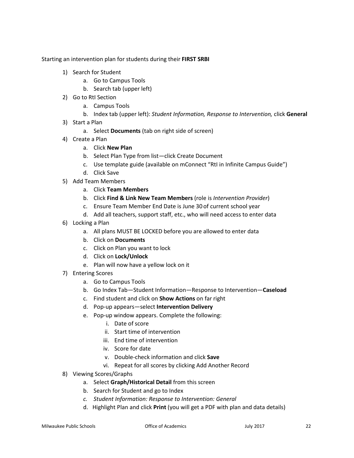<span id="page-21-0"></span>Starting an intervention plan for students during their **FIRST SRBI**

- 1) Search for Student
	- a. Go to Campus Tools
	- b. Search tab (upper left)
- 2) Go to RtI Section
	- a. Campus Tools
	- b. Index tab (upper left): *Student Information, Response to Intervention,* click **General**
- 3) Start a Plan
	- a. Select **Documents** (tab on right side of screen)
- 4) Create a Plan
	- a. Click **New Plan**
	- b. Select Plan Type from list—click Create Document
	- c. Use template guide (available on mConnect "RtI in Infinite Campus Guide")
	- d. Click Save
- 5) Add Team Members
	- a. Click **Team Members**
	- b. Click **Find & Link New Team Members** (role is *Intervention Provider*)
	- c. Ensure Team Member End Date is June 30 of current school year
	- d. Add all teachers, support staff, etc., who will need access to enter data
- 6) Locking a Plan
	- a. All plans MUST BE LOCKED before you are allowed to enter data
	- b. Click on **Documents**
	- c. Click on Plan you want to lock
	- d. Click on **Lock/Unlock**
	- e. Plan will now have a yellow lock on it
- 7) Entering Scores
	- a. Go to Campus Tools
	- b. Go Index Tab—Student Information—Response to Intervention—**Caseload**
	- c. Find student and click on **Show Actions** on far right
	- d. Pop-up appears—select **Intervention Delivery**
	- e. Pop-up window appears. Complete the following:
		- i. Date of score
		- ii. Start time of intervention
		- iii. End time of intervention
		- iv. Score for date
		- v. Double-check information and click **Save**
		- vi. Repeat for all scores by clicking Add Another Record
- 8) Viewing Scores/Graphs
	- a. Select **Graph/Historical Detail** from this screen
	- b. Search for Student and go to Index
	- *c. Student Information: Response to Intervention: General*
	- d. Highlight Plan and click **Print** (you will get a PDF with plan and data details)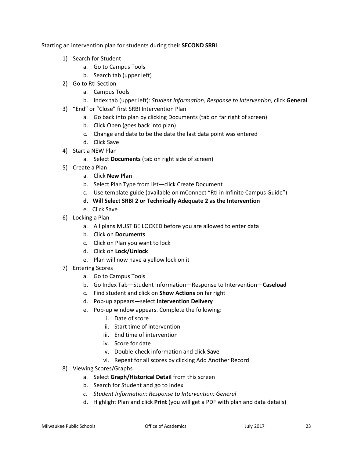<span id="page-22-0"></span>Starting an intervention plan for students during their **SECOND SRBI**

- 1) Search for Student
	- a. Go to Campus Tools
	- b. Search tab (upper left)
- 2) Go to RtI Section
	- a. Campus Tools
	- b. Index tab (upper left): *Student Information, Response to Intervention,* click **General**
- 3) "End" or "Close" first SRBI Intervention Plan
	- a. Go back into plan by clicking Documents (tab on far right of screen)
	- b. Click Open (goes back into plan)
	- c. Change end date to be the date the last data point was entered
	- d. Click Save
- 4) Start a NEW Plan
	- a. Select **Documents** (tab on right side of screen)
- 5) Create a Plan
	- a. Click **New Plan**
	- b. Select Plan Type from list—click Create Document
	- c. Use template guide (available on mConnect "RtI in Infinite Campus Guide")
	- **d. Will Select SRBI 2 or Technically Adequate 2 as the Intervention**
	- e. Click Save
- 6) Locking a Plan
	- a. All plans MUST BE LOCKED before you are allowed to enter data
	- b. Click on **Documents**
	- c. Click on Plan you want to lock
	- d. Click on **Lock/Unlock**
	- e. Plan will now have a yellow lock on it
- 7) Entering Scores
	- a. Go to Campus Tools
	- b. Go Index Tab—Student Information—Response to Intervention—**Caseload**
	- c. Find student and click on **Show Actions** on far right
	- d. Pop-up appears—select **Intervention Delivery**
	- e. Pop-up window appears. Complete the following:
		- i. Date of score
		- ii. Start time of intervention
		- iii. End time of intervention
		- iv. Score for date
		- v. Double-check information and click **Save**
		- vi. Repeat for all scores by clicking Add Another Record
- 8) Viewing Scores/Graphs
	- a. Select **Graph/Historical Detail** from this screen
	- b. Search for Student and go to Index
	- *c. Student Information: Response to Intervention: General*
	- d. Highlight Plan and click **Print** (you will get a PDF with plan and data details)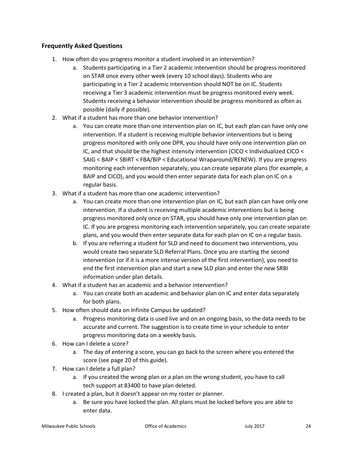### <span id="page-23-0"></span>**Frequently Asked Questions**

- 1. How often do you progress monitor a student involved in an intervention?
	- a. Students participating in a Tier 2 academic intervention should be progress monitored on STAR once every other week (every 10 school days). Students who are participating in a Tier 2 academic intervention should NOT be on IC. Students receiving a Tier 3 academic intervention must be progress monitored every week. Students receiving a behavior intervention should be progress monitored as often as possible (daily if possible).
- 2. What if a student has more than one behavior intervention?
	- a. You can create more than one intervention plan on IC, but each plan can have only one intervention. If a student is receiving multiple behavior interventions but is being progress monitored with only one DPR, you should have only one intervention plan on IC, and that should be the highest intensity intervention (CICO < Individualized CICO < SAIG < BAIP < SBIRT < FBA/BIP < Educational Wraparound/RENEW). If you are progress monitoring each intervention separately, you can create separate plans (for example, a BAIP and CICO), and you would then enter separate data for each plan on IC on a regular basis.
- 3. What if a student has more than one academic intervention?
	- a. You can create more than one intervention plan on IC, but each plan can have only one intervention. If a student is receiving multiple academic interventions but is being progress monitored only once on STAR, you should have only one intervention plan on IC. If you are progress monitoring each intervention separately, you can create separate plans, and you would then enter separate data for each plan on IC on a regular basis.
	- b. If you are referring a student for SLD and need to document two interventions, you would create two separate SLD Referral Plans. Once you are starting the second intervention (or if it is a more intense version of the first intervention), you need to end the first intervention plan and start a new SLD plan and enter the new SRBI information under plan details.
- 4. What if a student has an academic and a behavior intervention?
	- a. You can create both an academic and behavior plan on IC and enter data separately for both plans.
- 5. How often should data on Infinite Campus be updated?
	- a. Progress monitoring data is used live and on an ongoing basis, so the data needs to be accurate and current. The suggestion is to create time in your schedule to enter progress monitoring data on a weekly basis.
- 6. How can I delete a score?
	- a. The day of entering a score, you can go back to the screen where you entered the score (see page 20 of this guide).
- 7. How can I delete a full plan?
	- a. If you created the wrong plan or a plan on the wrong student, you have to call tech support at 83400 to have plan deleted.
- 8. I created a plan, but it doesn't appear on my roster or planner.
	- a. Be sure you have locked the plan. All plans must be locked before you are able to enter data.